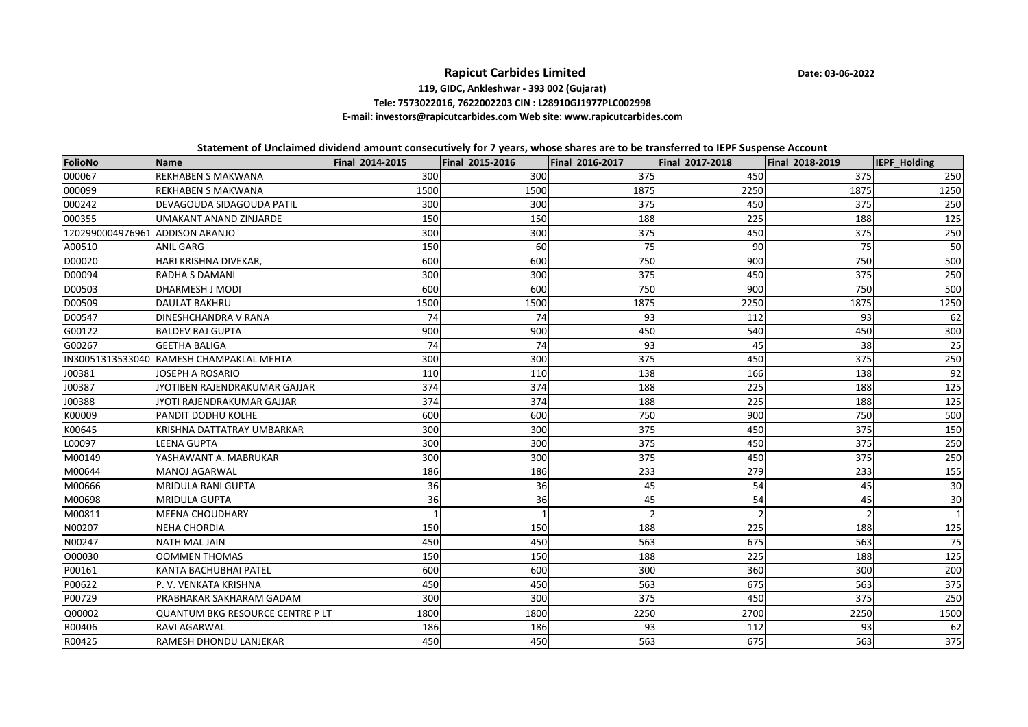## **Rapicut Carbides Limited**

**Date: <sup>03</sup>‐06‐<sup>2022</sup>**

## **119, GIDC, Ankleshwar ‐ <sup>393</sup> <sup>002</sup> (Gujarat) Tele: 7573022016, 7622002203 CIN : L28910GJ1977PLC002998**

## **E‐mail: investors@rapicutcarbides.com Web site: www.rapicutcarbides.com**

Statement of Unclaimed dividend amount consecutively for 7 years, whose shares are to be transferred to IEPF Suspense Account

| FolioNo                         | <b>Name</b>                              | Final 2014-2015 | <b>Final 2015-2016</b> | Final 2016-2017 | Final 2017-2018 | Final 2018-2019 | IEPF_Holding |
|---------------------------------|------------------------------------------|-----------------|------------------------|-----------------|-----------------|-----------------|--------------|
| 000067                          | <b>REKHABEN S MAKWANA</b>                | 300             | 300                    | 375             | 450             | 375             | 250          |
| 000099                          | <b>REKHABEN S MAKWANA</b>                | 1500            | 1500                   | 1875            | 2250            | 1875            | 1250         |
| 000242                          | DEVAGOUDA SIDAGOUDA PATIL                | 300             | 300                    | 375             | 450             | 375             | 250          |
| 000355                          | <b>UMAKANT ANAND ZINJARDE</b>            | 150             | 150                    | 188             | 225             | 188             | 125          |
| 1202990004976961 ADDISON ARANJO |                                          | 300             | 300                    | 375             | 450             | 375             | 250          |
| A00510                          | <b>ANIL GARG</b>                         | 150             | 60                     | 75              | 90              | 75              | 50           |
| D00020                          | HARI KRISHNA DIVEKAR,                    | 600             | 600                    | 750             | 900             | 750             | 500          |
| D00094                          | <b>RADHA S DAMANI</b>                    | 300             | 300                    | 375             | 450             | 375             | 250          |
| D00503                          | DHARMESH J MODI                          | 600             | 600                    | 750             | 900             | 750             | 500          |
| D00509                          | <b>DAULAT BAKHRU</b>                     | 1500            | 1500                   | 1875            | 2250            | 1875            | 1250         |
| D00547                          | DINESHCHANDRA V RANA                     | 74              | 74                     | 93              | 112             | 93              | 62           |
| G00122                          | <b>BALDEV RAJ GUPTA</b>                  | 900             | 900                    | 450             | 540             | 450             | 300          |
| G00267                          | <b>GEETHA BALIGA</b>                     | 74              | 74                     | 93              | 45              | 38              | 25           |
|                                 | IN30051313533040 RAMESH CHAMPAKLAL MEHTA | 300             | 300                    | 375             | 450             | 375             | 250          |
| J00381                          | <b>JOSEPH A ROSARIO</b>                  | 110             | 110                    | 138             | 166             | 138             | 92           |
| J00387                          | JYOTIBEN RAJENDRAKUMAR GAJJAR            | 374             | 374                    | 188             | 225             | 188             | 125          |
| J00388                          | JYOTI RAJENDRAKUMAR GAJJAR               | 374             | 374                    | 188             | 225             | 188             | 125          |
| K00009                          | PANDIT DODHU KOLHE                       | 600             | 600                    | 750             | 900             | 750             | 500          |
| K00645                          | KRISHNA DATTATRAY UMBARKAR               | 300             | 300                    | 375             | 450             | 375             | 150          |
| L00097                          | <b>LEENA GUPTA</b>                       | 300             | 300                    | 375             | 450             | 375             | 250          |
| M00149                          | YASHAWANT A. MABRUKAR                    | 300             | 300                    | 375             | 450             | 375             | 250          |
| M00644                          | <b>MANOJ AGARWAL</b>                     | 186             | 186                    | 233             | 279             | 233             | 155          |
| M00666                          | <b>MRIDULA RANI GUPTA</b>                | 36              | 36                     | 45              | 54              | 45              | 30           |
| M00698                          | <b>MRIDULA GUPTA</b>                     | 36              | 36                     | 45              | 54              | 45              | 30           |
| M00811                          | <b>MEENA CHOUDHARY</b>                   |                 |                        | 2               | $\mathfrak{p}$  |                 | $\vert$ 1    |
| N00207                          | <b>NEHA CHORDIA</b>                      | 150             | 150                    | 188             | 225             | 188             | 125          |
| N00247                          | NATH MAL JAIN                            | 450             | 450                    | 563             | 675             | 563             | 75           |
| 000030                          | <b>OOMMEN THOMAS</b>                     | 150             | 150                    | 188             | 225             | 188             | 125          |
| P00161                          | KANTA BACHUBHAI PATEL                    | 600             | 600                    | 300             | 360             | 300             | 200          |
| P00622                          | P.V. VENKATA KRISHNA                     | 450             | 450                    | 563             | 675             | 563             | 375          |
| P00729                          | PRABHAKAR SAKHARAM GADAM                 | 300             | 300                    | 375             | 450             | 375             | 250          |
| Q00002                          | <b>QUANTUM BKG RESOURCE CENTRE PLT</b>   | 1800            | 1800                   | 2250            | 2700            | 2250            | 1500         |
| R00406                          | <b>RAVI AGARWAL</b>                      | 186             | 186                    | 93              | 112             | 93              | 62           |
| R00425                          | RAMESH DHONDU LANJEKAR                   | 450             | 450                    | 563             | 675             | 563             | 375          |